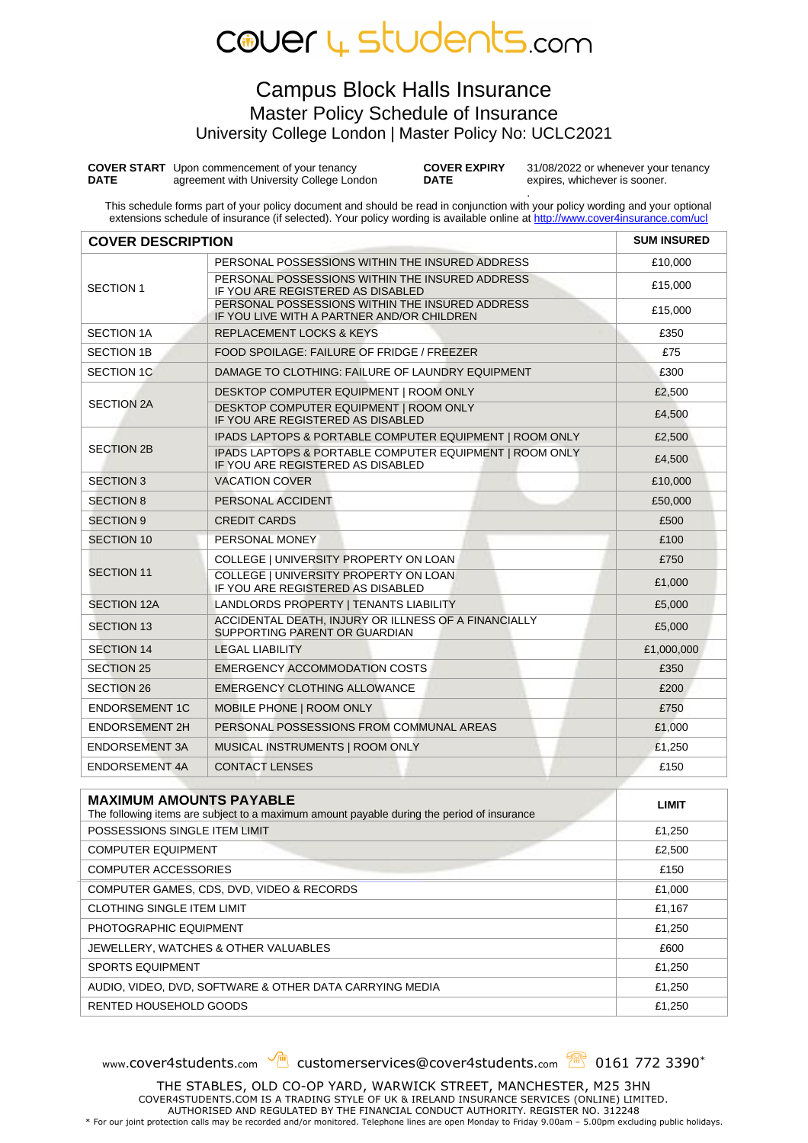## COUEr 4 Students.com

### Campus Block Halls Insurance Master Policy Schedule of Insurance University College London | Master Policy No: UCLC2021

**COVER START**  Upon commencement of your tenancy **DATE** agreement with University College London **COVER EXPIRY DATE**

31/08/2022 or whenever your tenancy expires, whichever is sooner.

. This schedule forms part of your policy document and should be read in conjunction with your policy wording and your optional extensions schedule of insurance (if selected). Your policy wording is available online a[t http://www.cover4insurance.com/ucl](http://www.cover4insurance.com/ucl)

| <b>COVER DESCRIPTION</b> |                                                                                               | <b>SUM INSURED</b> |
|--------------------------|-----------------------------------------------------------------------------------------------|--------------------|
|                          | PERSONAL POSSESSIONS WITHIN THE INSURED ADDRESS                                               | £10,000            |
| <b>SECTION 1</b>         | PERSONAL POSSESSIONS WITHIN THE INSURED ADDRESS<br>IF YOU ARE REGISTERED AS DISABLED          | £15.000            |
|                          | PERSONAL POSSESSIONS WITHIN THE INSURED ADDRESS<br>IF YOU LIVE WITH A PARTNER AND/OR CHILDREN | £15,000            |
| <b>SECTION 1A</b>        | <b>REPLACEMENT LOCKS &amp; KEYS</b>                                                           | £350               |
| <b>SECTION 1B</b>        | FOOD SPOILAGE: FAILURE OF FRIDGE / FREEZER                                                    | £75                |
| <b>SECTION 1C</b>        | DAMAGE TO CLOTHING: FAILURE OF LAUNDRY EQUIPMENT                                              | £300               |
| <b>SECTION 2A</b>        | DESKTOP COMPUTER EQUIPMENT   ROOM ONLY                                                        | £2,500             |
|                          | DESKTOP COMPUTER EQUIPMENT   ROOM ONLY<br>IF YOU ARE REGISTERED AS DISABLED                   | £4,500             |
|                          | IPADS LAPTOPS & PORTABLE COMPUTER EQUIPMENT   ROOM ONLY                                       | £2,500             |
| <b>SECTION 2B</b>        | IPADS LAPTOPS & PORTABLE COMPUTER EQUIPMENT   ROOM ONLY<br>IF YOU ARE REGISTERED AS DISABLED  | £4,500             |
| <b>SECTION 3</b>         | <b>VACATION COVER</b>                                                                         | £10,000            |
| <b>SECTION 8</b>         | PERSONAL ACCIDENT                                                                             | £50,000            |
| <b>SECTION 9</b>         | <b>CREDIT CARDS</b>                                                                           | £500               |
| <b>SECTION 10</b>        | PERSONAL MONEY                                                                                | £100               |
| <b>SECTION 11</b>        | COLLEGE   UNIVERSITY PROPERTY ON LOAN                                                         | £750               |
|                          | COLLEGE   UNIVERSITY PROPERTY ON LOAN<br>IF YOU ARE REGISTERED AS DISABLED                    | £1,000             |
| <b>SECTION 12A</b>       | LANDLORDS PROPERTY   TENANTS LIABILITY                                                        | £5,000             |
| <b>SECTION 13</b>        | ACCIDENTAL DEATH, INJURY OR ILLNESS OF A FINANCIALLY<br>SUPPORTING PARENT OR GUARDIAN         | £5,000             |
| <b>SECTION 14</b>        | <b>LEGAL LIABILITY</b>                                                                        | £1,000,000         |
| <b>SECTION 25</b>        | <b>EMERGENCY ACCOMMODATION COSTS</b>                                                          | £350               |
| <b>SECTION 26</b>        | <b>EMERGENCY CLOTHING ALLOWANCE</b>                                                           | £200               |
| <b>ENDORSEMENT 1C</b>    | MOBILE PHONE   ROOM ONLY                                                                      | £750               |
| <b>ENDORSEMENT 2H</b>    | PERSONAL POSSESSIONS FROM COMMUNAL AREAS                                                      | £1,000             |
| ENDORSEMENT 3A           | MUSICAL INSTRUMENTS   ROOM ONLY                                                               | £1,250             |
| ENDORSEMENT 4A           | <b>CONTACT LENSES</b>                                                                         | £150               |

| <b>MAXIMUM AMOUNTS PAYABLE</b><br>The following items are subject to a maximum amount payable during the period of insurance | LIMIT  |
|------------------------------------------------------------------------------------------------------------------------------|--------|
| POSSESSIONS SINGLE ITEM LIMIT                                                                                                | £1,250 |
| <b>COMPUTER EQUIPMENT</b>                                                                                                    | £2,500 |
| <b>COMPUTER ACCESSORIES</b>                                                                                                  | £150   |
| COMPUTER GAMES, CDS, DVD, VIDEO & RECORDS                                                                                    | £1,000 |
| <b>CLOTHING SINGLE ITEM LIMIT</b>                                                                                            | £1,167 |
| PHOTOGRAPHIC EQUIPMENT                                                                                                       | £1,250 |
| JEWELLERY, WATCHES & OTHER VALUABLES                                                                                         | £600   |
| <b>SPORTS EQUIPMENT</b>                                                                                                      | £1,250 |
| AUDIO, VIDEO, DVD, SOFTWARE & OTHER DATA CARRYING MEDIA                                                                      | £1,250 |
| RENTED HOUSEHOLD GOODS                                                                                                       | £1,250 |

www.cover4students.com customerservices@cover4students.com 2 0161 772 3390\*

THE STABLES, OLD CO-OP YARD, WARWICK STREET, MANCHESTER, M25 3HN COVER4STUDENTS.COM IS A TRADING STYLE OF UK & IRELAND INSURANCE SERVICES (ONLINE) LIMITED. AUTHORISED AND REGULATED BY THE FINANCIAL CONDUCT AUTHORITY. REGISTER NO. 312248<br>For our joint protection calls may be recorded and/or monitored. Telephone lines are open Monday to Friday 9.00am – 5.00pm excluding public h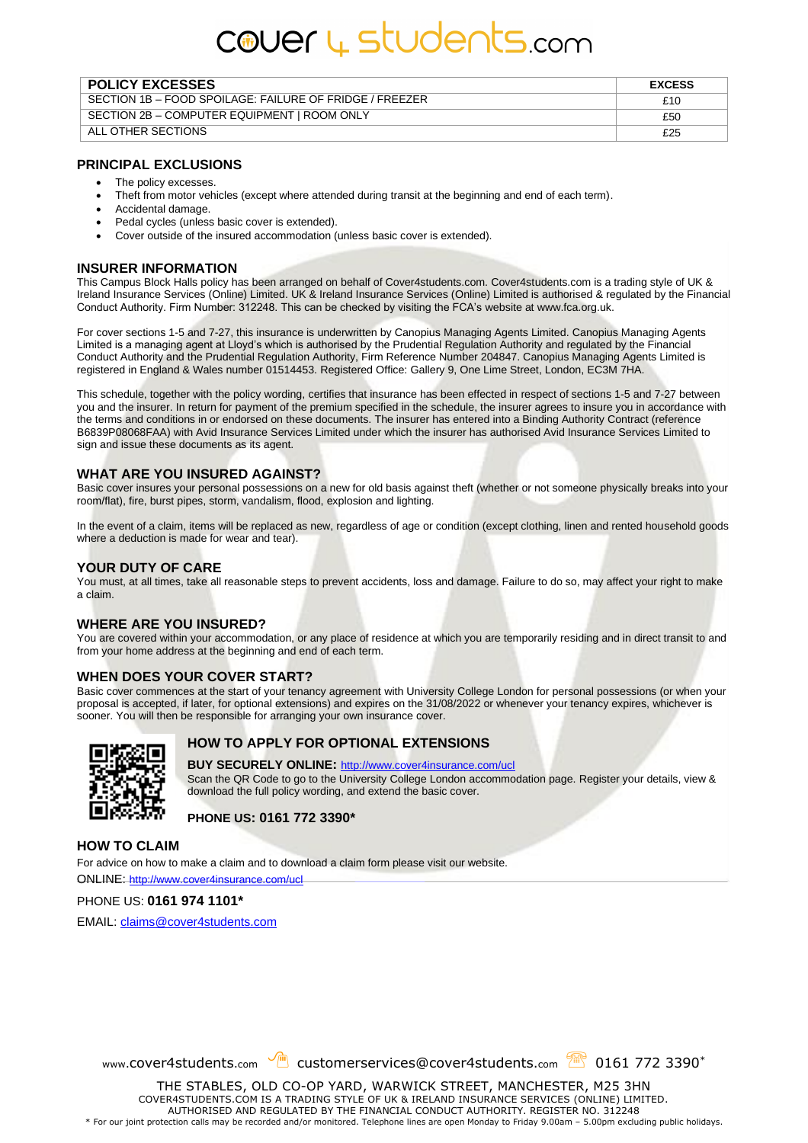# cover 4 students.com

| <b>POLICY EXCESSES</b>                                  | <b>EXCESS</b> |
|---------------------------------------------------------|---------------|
| SECTION 1B – FOOD SPOILAGE: FAILURE OF FRIDGE / FREEZER | £10           |
| SECTION 2B - COMPUTER EQUIPMENT   ROOM ONLY             | £50           |
| ALL OTHER SECTIONS                                      | £25           |

#### **PRINCIPAL EXCLUSIONS**

- The policy excesses.
- Theft from motor vehicles (except where attended during transit at the beginning and end of each term).
- Accidental damage.
- Pedal cycles (unless basic cover is extended).
- Cover outside of the insured accommodation (unless basic cover is extended).

#### **INSURER INFORMATION**

This Campus Block Halls policy has been arranged on behalf of Cover4students.com. Cover4students.com is a trading style of UK & Ireland Insurance Services (Online) Limited. UK & Ireland Insurance Services (Online) Limited is authorised & regulated by the Financial Conduct Authority. Firm Number: 312248. This can be checked by visiting the FCA's website at www.fca.org.uk.

For cover sections 1-5 and 7-27, this insurance is underwritten by Canopius Managing Agents Limited. Canopius Managing Agents Limited is a managing agent at Lloyd's which is authorised by the Prudential Regulation Authority and regulated by the Financial Conduct Authority and the Prudential Regulation Authority, Firm Reference Number 204847. Canopius Managing Agents Limited is registered in England & Wales number 01514453. Registered Office: Gallery 9, One Lime Street, London, EC3M 7HA.

This schedule, together with the policy wording, certifies that insurance has been effected in respect of sections 1-5 and 7-27 between you and the insurer. In return for payment of the premium specified in the schedule, the insurer agrees to insure you in accordance with the terms and conditions in or endorsed on these documents. The insurer has entered into a Binding Authority Contract (reference B6839P08068FAA) with Avid Insurance Services Limited under which the insurer has authorised Avid Insurance Services Limited to sign and issue these documents as its agent.

#### **WHAT ARE YOU INSURED AGAINST?**

Basic cover insures your personal possessions on a new for old basis against theft (whether or not someone physically breaks into your room/flat), fire, burst pipes, storm, vandalism, flood, explosion and lighting.

In the event of a claim, items will be replaced as new, regardless of age or condition (except clothing, linen and rented household goods where a deduction is made for wear and tear).

#### **YOUR DUTY OF CARE**

You must, at all times, take all reasonable steps to prevent accidents, loss and damage. Failure to do so, may affect your right to make a claim.

#### **WHERE ARE YOU INSURED?**

You are covered within your accommodation, or any place of residence at which you are temporarily residing and in direct transit to and from your home address at the beginning and end of each term.

#### **WHEN DOES YOUR COVER START?**

Basic cover commences at the start of your tenancy agreement with University College London for personal possessions (or when your proposal is accepted, if later, for optional extensions) and expires on the 31/08/2022 or whenever your tenancy expires, whichever is sooner. You will then be responsible for arranging your own insurance cover.



#### **HOW TO APPLY FOR OPTIONAL EXTENSIONS**

#### **BUY SECURELY ONLINE:** <http://www.cover4insurance.com/ucl>

Scan the QR Code to go to the University College London accommodation page. Register your details, view & download the full policy wording, and extend the basic cover.

**PHONE US: 0161 772 3390\***

#### **HOW TO CLAIM**

For advice on how to make a claim and to download a claim form please visit our website.

ONLINE: <http://www.cover4insurance.com/ucl>

PHONE US: **0161 974 1101\***

EMAIL[: claims@cover4students.com](mailto:claims@cover4students.com)

www.cover4students.com customerservices@cover4students.com 2 0161 772 3390\*

THE STABLES, OLD CO-OP YARD, WARWICK STREET, MANCHESTER, M25 3HN COVER4STUDENTS.COM IS A TRADING STYLE OF UK & IRELAND INSURANCE SERVICES (ONLINE) LIMITED. AUTHORISED AND REGULATED BY THE FINANCIAL CONDUCT AUTHORITY. REGISTER NO. 312248 \* For our joint protection calls may be recorded and/or monitored. Telephone lines are open Monday to Friday 9.00am – 5.00pm excluding public holidays.